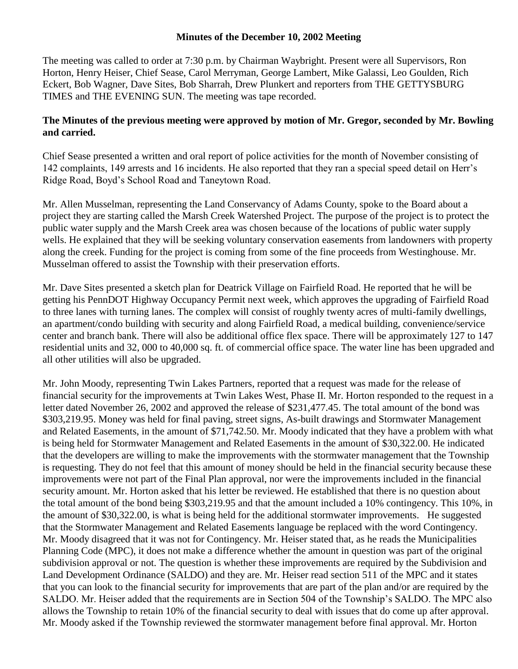#### **Minutes of the December 10, 2002 Meeting**

The meeting was called to order at 7:30 p.m. by Chairman Waybright. Present were all Supervisors, Ron Horton, Henry Heiser, Chief Sease, Carol Merryman, George Lambert, Mike Galassi, Leo Goulden, Rich Eckert, Bob Wagner, Dave Sites, Bob Sharrah, Drew Plunkert and reporters from THE GETTYSBURG TIMES and THE EVENING SUN. The meeting was tape recorded.

## **The Minutes of the previous meeting were approved by motion of Mr. Gregor, seconded by Mr. Bowling and carried.**

Chief Sease presented a written and oral report of police activities for the month of November consisting of 142 complaints, 149 arrests and 16 incidents. He also reported that they ran a special speed detail on Herr's Ridge Road, Boyd's School Road and Taneytown Road.

Mr. Allen Musselman, representing the Land Conservancy of Adams County, spoke to the Board about a project they are starting called the Marsh Creek Watershed Project. The purpose of the project is to protect the public water supply and the Marsh Creek area was chosen because of the locations of public water supply wells. He explained that they will be seeking voluntary conservation easements from landowners with property along the creek. Funding for the project is coming from some of the fine proceeds from Westinghouse. Mr. Musselman offered to assist the Township with their preservation efforts.

Mr. Dave Sites presented a sketch plan for Deatrick Village on Fairfield Road. He reported that he will be getting his PennDOT Highway Occupancy Permit next week, which approves the upgrading of Fairfield Road to three lanes with turning lanes. The complex will consist of roughly twenty acres of multi-family dwellings, an apartment/condo building with security and along Fairfield Road, a medical building, convenience/service center and branch bank. There will also be additional office flex space. There will be approximately 127 to 147 residential units and 32, 000 to 40,000 sq. ft. of commercial office space. The water line has been upgraded and all other utilities will also be upgraded.

Mr. John Moody, representing Twin Lakes Partners, reported that a request was made for the release of financial security for the improvements at Twin Lakes West, Phase II. Mr. Horton responded to the request in a letter dated November 26, 2002 and approved the release of \$231,477.45. The total amount of the bond was \$303,219.95. Money was held for final paving, street signs, As-built drawings and Stormwater Management and Related Easements, in the amount of \$71,742.50. Mr. Moody indicated that they have a problem with what is being held for Stormwater Management and Related Easements in the amount of \$30,322.00. He indicated that the developers are willing to make the improvements with the stormwater management that the Township is requesting. They do not feel that this amount of money should be held in the financial security because these improvements were not part of the Final Plan approval, nor were the improvements included in the financial security amount. Mr. Horton asked that his letter be reviewed. He established that there is no question about the total amount of the bond being \$303,219.95 and that the amount included a 10% contingency. This 10%, in the amount of \$30,322.00, is what is being held for the additional stormwater improvements. He suggested that the Stormwater Management and Related Easements language be replaced with the word Contingency. Mr. Moody disagreed that it was not for Contingency. Mr. Heiser stated that, as he reads the Municipalities Planning Code (MPC), it does not make a difference whether the amount in question was part of the original subdivision approval or not. The question is whether these improvements are required by the Subdivision and Land Development Ordinance (SALDO) and they are. Mr. Heiser read section 511 of the MPC and it states that you can look to the financial security for improvements that are part of the plan and/or are required by the SALDO. Mr. Heiser added that the requirements are in Section 504 of the Township's SALDO. The MPC also allows the Township to retain 10% of the financial security to deal with issues that do come up after approval. Mr. Moody asked if the Township reviewed the stormwater management before final approval. Mr. Horton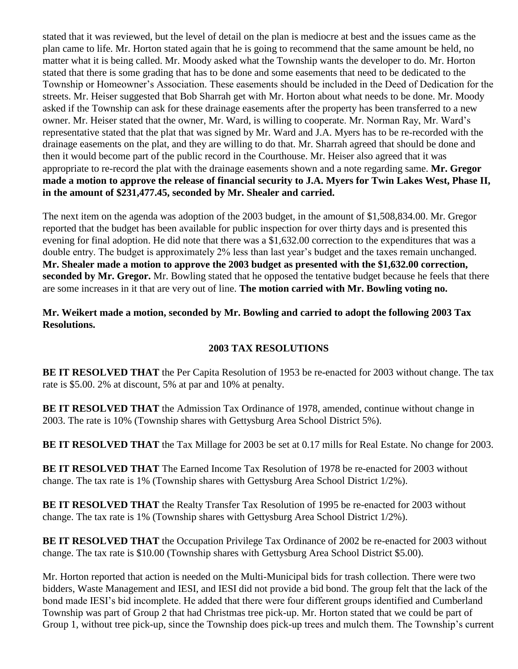stated that it was reviewed, but the level of detail on the plan is mediocre at best and the issues came as the plan came to life. Mr. Horton stated again that he is going to recommend that the same amount be held, no matter what it is being called. Mr. Moody asked what the Township wants the developer to do. Mr. Horton stated that there is some grading that has to be done and some easements that need to be dedicated to the Township or Homeowner's Association. These easements should be included in the Deed of Dedication for the streets. Mr. Heiser suggested that Bob Sharrah get with Mr. Horton about what needs to be done. Mr. Moody asked if the Township can ask for these drainage easements after the property has been transferred to a new owner. Mr. Heiser stated that the owner, Mr. Ward, is willing to cooperate. Mr. Norman Ray, Mr. Ward's representative stated that the plat that was signed by Mr. Ward and J.A. Myers has to be re-recorded with the drainage easements on the plat, and they are willing to do that. Mr. Sharrah agreed that should be done and then it would become part of the public record in the Courthouse. Mr. Heiser also agreed that it was appropriate to re-record the plat with the drainage easements shown and a note regarding same. **Mr. Gregor made a motion to approve the release of financial security to J.A. Myers for Twin Lakes West, Phase II, in the amount of \$231,477.45, seconded by Mr. Shealer and carried.**

The next item on the agenda was adoption of the 2003 budget, in the amount of \$1,508,834.00. Mr. Gregor reported that the budget has been available for public inspection for over thirty days and is presented this evening for final adoption. He did note that there was a \$1,632.00 correction to the expenditures that was a double entry. The budget is approximately 2% less than last year's budget and the taxes remain unchanged. **Mr. Shealer made a motion to approve the 2003 budget as presented with the \$1,632.00 correction, seconded by Mr. Gregor.** Mr. Bowling stated that he opposed the tentative budget because he feels that there are some increases in it that are very out of line. **The motion carried with Mr. Bowling voting no.**

**Mr. Weikert made a motion, seconded by Mr. Bowling and carried to adopt the following 2003 Tax Resolutions.**

## **2003 TAX RESOLUTIONS**

**BE IT RESOLVED THAT** the Per Capita Resolution of 1953 be re-enacted for 2003 without change. The tax rate is \$5.00. 2% at discount, 5% at par and 10% at penalty.

**BE IT RESOLVED THAT** the Admission Tax Ordinance of 1978, amended, continue without change in 2003. The rate is 10% (Township shares with Gettysburg Area School District 5%).

**BE IT RESOLVED THAT** the Tax Millage for 2003 be set at 0.17 mills for Real Estate. No change for 2003.

**BE IT RESOLVED THAT** The Earned Income Tax Resolution of 1978 be re-enacted for 2003 without change. The tax rate is 1% (Township shares with Gettysburg Area School District 1/2%).

**BE IT RESOLVED THAT** the Realty Transfer Tax Resolution of 1995 be re-enacted for 2003 without change. The tax rate is 1% (Township shares with Gettysburg Area School District 1/2%).

**BE IT RESOLVED THAT** the Occupation Privilege Tax Ordinance of 2002 be re-enacted for 2003 without change. The tax rate is \$10.00 (Township shares with Gettysburg Area School District \$5.00).

Mr. Horton reported that action is needed on the Multi-Municipal bids for trash collection. There were two bidders, Waste Management and IESI, and IESI did not provide a bid bond. The group felt that the lack of the bond made IESI's bid incomplete. He added that there were four different groups identified and Cumberland Township was part of Group 2 that had Christmas tree pick-up. Mr. Horton stated that we could be part of Group 1, without tree pick-up, since the Township does pick-up trees and mulch them. The Township's current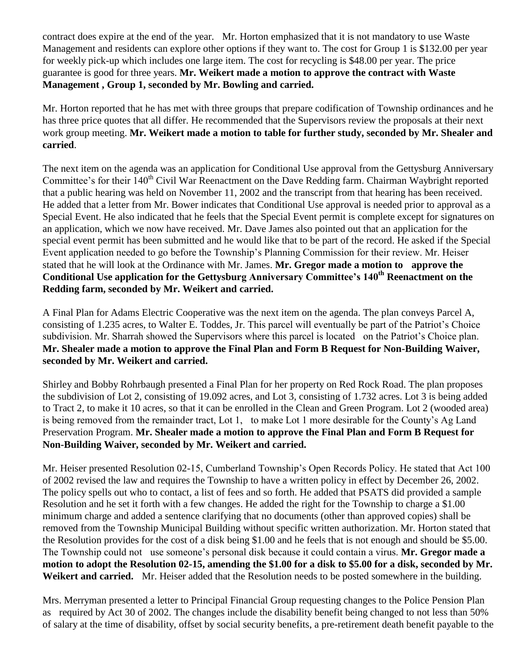contract does expire at the end of the year. Mr. Horton emphasized that it is not mandatory to use Waste Management and residents can explore other options if they want to. The cost for Group 1 is \$132.00 per year for weekly pick-up which includes one large item. The cost for recycling is \$48.00 per year. The price guarantee is good for three years. **Mr. Weikert made a motion to approve the contract with Waste Management , Group 1, seconded by Mr. Bowling and carried.**

Mr. Horton reported that he has met with three groups that prepare codification of Township ordinances and he has three price quotes that all differ. He recommended that the Supervisors review the proposals at their next work group meeting. **Mr. Weikert made a motion to table for further study, seconded by Mr. Shealer and carried**.

The next item on the agenda was an application for Conditional Use approval from the Gettysburg Anniversary Committee's for their 140<sup>th</sup> Civil War Reenactment on the Dave Redding farm. Chairman Waybright reported that a public hearing was held on November 11, 2002 and the transcript from that hearing has been received. He added that a letter from Mr. Bower indicates that Conditional Use approval is needed prior to approval as a Special Event. He also indicated that he feels that the Special Event permit is complete except for signatures on an application, which we now have received. Mr. Dave James also pointed out that an application for the special event permit has been submitted and he would like that to be part of the record. He asked if the Special Event application needed to go before the Township's Planning Commission for their review. Mr. Heiser stated that he will look at the Ordinance with Mr. James. **Mr. Gregor made a motion to approve the Conditional Use application for the Gettysburg Anniversary Committee's 140th Reenactment on the Redding farm, seconded by Mr. Weikert and carried.**

A Final Plan for Adams Electric Cooperative was the next item on the agenda. The plan conveys Parcel A, consisting of 1.235 acres, to Walter E. Toddes, Jr. This parcel will eventually be part of the Patriot's Choice subdivision. Mr. Sharrah showed the Supervisors where this parcel is located on the Patriot's Choice plan. **Mr. Shealer made a motion to approve the Final Plan and Form B Request for Non-Building Waiver, seconded by Mr. Weikert and carried.**

Shirley and Bobby Rohrbaugh presented a Final Plan for her property on Red Rock Road. The plan proposes the subdivision of Lot 2, consisting of 19.092 acres, and Lot 3, consisting of 1.732 acres. Lot 3 is being added to Tract 2, to make it 10 acres, so that it can be enrolled in the Clean and Green Program. Lot 2 (wooded area) is being removed from the remainder tract, Lot 1, to make Lot 1 more desirable for the County's Ag Land Preservation Program. **Mr. Shealer made a motion to approve the Final Plan and Form B Request for Non-Building Waiver, seconded by Mr. Weikert and carried.** 

Mr. Heiser presented Resolution 02-15, Cumberland Township's Open Records Policy. He stated that Act 100 of 2002 revised the law and requires the Township to have a written policy in effect by December 26, 2002. The policy spells out who to contact, a list of fees and so forth. He added that PSATS did provided a sample Resolution and he set it forth with a few changes. He added the right for the Township to charge a \$1.00 minimum charge and added a sentence clarifying that no documents (other than approved copies) shall be removed from the Township Municipal Building without specific written authorization. Mr. Horton stated that the Resolution provides for the cost of a disk being \$1.00 and he feels that is not enough and should be \$5.00. The Township could not use someone's personal disk because it could contain a virus. **Mr. Gregor made a motion to adopt the Resolution 02-15, amending the \$1.00 for a disk to \$5.00 for a disk, seconded by Mr. Weikert and carried.** Mr. Heiser added that the Resolution needs to be posted somewhere in the building.

Mrs. Merryman presented a letter to Principal Financial Group requesting changes to the Police Pension Plan as required by Act 30 of 2002. The changes include the disability benefit being changed to not less than 50% of salary at the time of disability, offset by social security benefits, a pre-retirement death benefit payable to the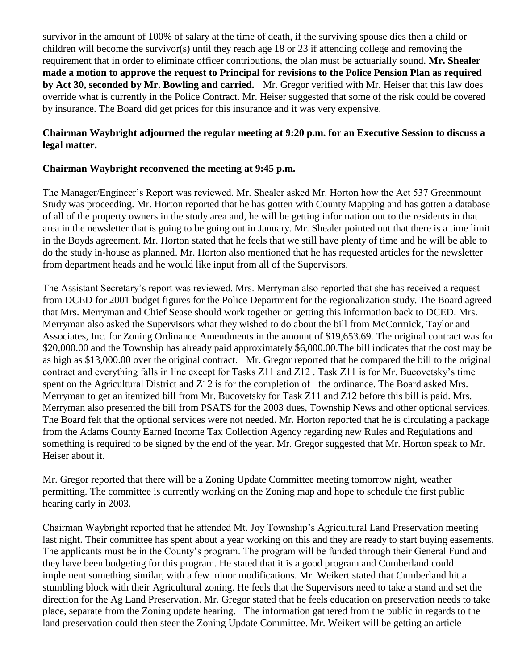survivor in the amount of 100% of salary at the time of death, if the surviving spouse dies then a child or children will become the survivor(s) until they reach age 18 or 23 if attending college and removing the requirement that in order to eliminate officer contributions, the plan must be actuarially sound. **Mr. Shealer made a motion to approve the request to Principal for revisions to the Police Pension Plan as required by Act 30, seconded by Mr. Bowling and carried.** Mr. Gregor verified with Mr. Heiser that this law does override what is currently in the Police Contract. Mr. Heiser suggested that some of the risk could be covered by insurance. The Board did get prices for this insurance and it was very expensive.

# **Chairman Waybright adjourned the regular meeting at 9:20 p.m. for an Executive Session to discuss a legal matter.**

## **Chairman Waybright reconvened the meeting at 9:45 p.m.**

The Manager/Engineer's Report was reviewed. Mr. Shealer asked Mr. Horton how the Act 537 Greenmount Study was proceeding. Mr. Horton reported that he has gotten with County Mapping and has gotten a database of all of the property owners in the study area and, he will be getting information out to the residents in that area in the newsletter that is going to be going out in January. Mr. Shealer pointed out that there is a time limit in the Boyds agreement. Mr. Horton stated that he feels that we still have plenty of time and he will be able to do the study in-house as planned. Mr. Horton also mentioned that he has requested articles for the newsletter from department heads and he would like input from all of the Supervisors.

The Assistant Secretary's report was reviewed. Mrs. Merryman also reported that she has received a request from DCED for 2001 budget figures for the Police Department for the regionalization study. The Board agreed that Mrs. Merryman and Chief Sease should work together on getting this information back to DCED. Mrs. Merryman also asked the Supervisors what they wished to do about the bill from McCormick, Taylor and Associates, Inc. for Zoning Ordinance Amendments in the amount of \$19,653.69. The original contract was for \$20,000.00 and the Township has already paid approximately \$6,000.00.The bill indicates that the cost may be as high as \$13,000.00 over the original contract. Mr. Gregor reported that he compared the bill to the original contract and everything falls in line except for Tasks Z11 and Z12 . Task Z11 is for Mr. Bucovetsky's time spent on the Agricultural District and Z12 is for the completion of the ordinance. The Board asked Mrs. Merryman to get an itemized bill from Mr. Bucovetsky for Task Z11 and Z12 before this bill is paid. Mrs. Merryman also presented the bill from PSATS for the 2003 dues, Township News and other optional services. The Board felt that the optional services were not needed. Mr. Horton reported that he is circulating a package from the Adams County Earned Income Tax Collection Agency regarding new Rules and Regulations and something is required to be signed by the end of the year. Mr. Gregor suggested that Mr. Horton speak to Mr. Heiser about it.

Mr. Gregor reported that there will be a Zoning Update Committee meeting tomorrow night, weather permitting. The committee is currently working on the Zoning map and hope to schedule the first public hearing early in 2003.

Chairman Waybright reported that he attended Mt. Joy Township's Agricultural Land Preservation meeting last night. Their committee has spent about a year working on this and they are ready to start buying easements. The applicants must be in the County's program. The program will be funded through their General Fund and they have been budgeting for this program. He stated that it is a good program and Cumberland could implement something similar, with a few minor modifications. Mr. Weikert stated that Cumberland hit a stumbling block with their Agricultural zoning. He feels that the Supervisors need to take a stand and set the direction for the Ag Land Preservation. Mr. Gregor stated that he feels education on preservation needs to take place, separate from the Zoning update hearing. The information gathered from the public in regards to the land preservation could then steer the Zoning Update Committee. Mr. Weikert will be getting an article